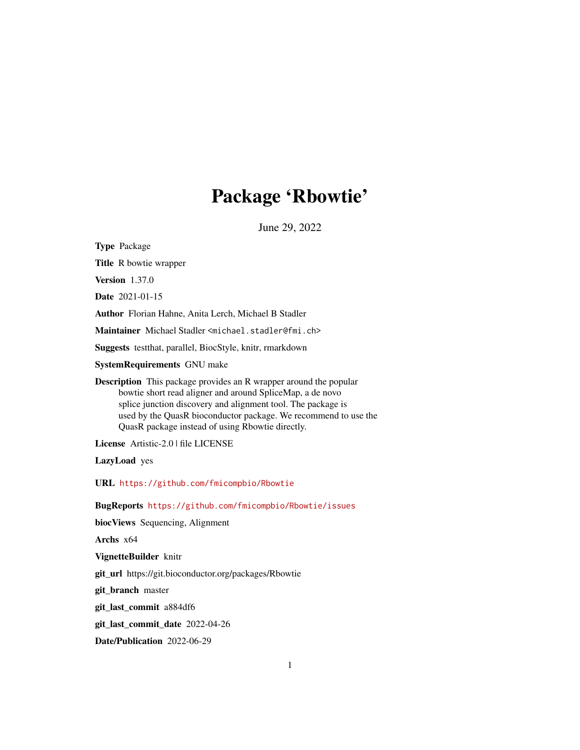# Package 'Rbowtie'

June 29, 2022

<span id="page-0-0"></span>Type Package Title R bowtie wrapper Version 1.37.0 Date 2021-01-15 Author Florian Hahne, Anita Lerch, Michael B Stadler Maintainer Michael Stadler <michael.stadler@fmi.ch> Suggests testthat, parallel, BiocStyle, knitr, rmarkdown SystemRequirements GNU make Description This package provides an R wrapper around the popular bowtie short read aligner and around SpliceMap, a de novo splice junction discovery and alignment tool. The package is used by the QuasR bioconductor package. We recommend to use the QuasR package instead of using Rbowtie directly. License Artistic-2.0 | file LICENSE LazyLoad yes URL <https://github.com/fmicompbio/Rbowtie> BugReports <https://github.com/fmicompbio/Rbowtie/issues> biocViews Sequencing, Alignment Archs x64 VignetteBuilder knitr git\_url https://git.bioconductor.org/packages/Rbowtie git\_branch master git\_last\_commit a884df6 git\_last\_commit\_date 2022-04-26 Date/Publication 2022-06-29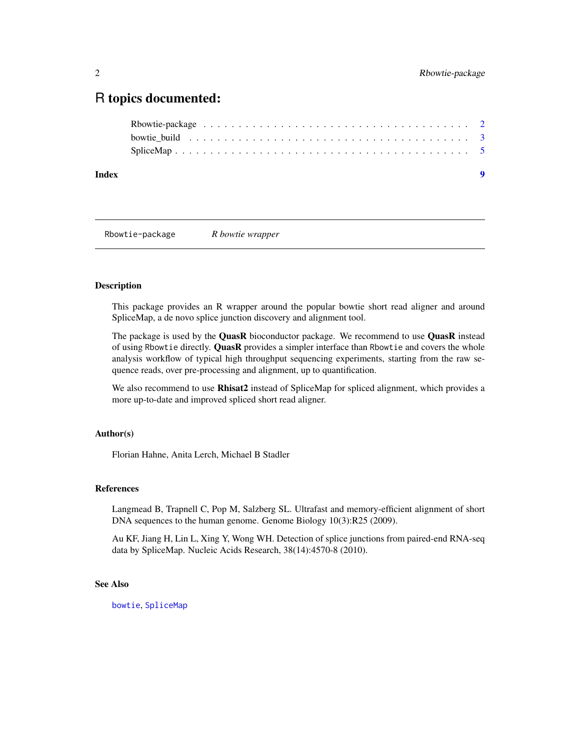# <span id="page-1-0"></span>R topics documented:

| Index | $\bullet$ |  |
|-------|-----------|--|
|       |           |  |
|       |           |  |
|       |           |  |

Rbowtie-package *R bowtie wrapper*

# Description

This package provides an R wrapper around the popular bowtie short read aligner and around SpliceMap, a de novo splice junction discovery and alignment tool.

The package is used by the QuasR bioconductor package. We recommend to use QuasR instead of using Rbowtie directly. QuasR provides a simpler interface than Rbowtie and covers the whole analysis workflow of typical high throughput sequencing experiments, starting from the raw sequence reads, over pre-processing and alignment, up to quantification.

We also recommend to use Rhisat2 instead of SpliceMap for spliced alignment, which provides a more up-to-date and improved spliced short read aligner.

#### Author(s)

Florian Hahne, Anita Lerch, Michael B Stadler

#### References

Langmead B, Trapnell C, Pop M, Salzberg SL. Ultrafast and memory-efficient alignment of short DNA sequences to the human genome. Genome Biology 10(3):R25 (2009).

Au KF, Jiang H, Lin L, Xing Y, Wong WH. Detection of splice junctions from paired-end RNA-seq data by SpliceMap. Nucleic Acids Research, 38(14):4570-8 (2010).

# See Also

[bowtie](#page-2-1), [SpliceMap](#page-4-1)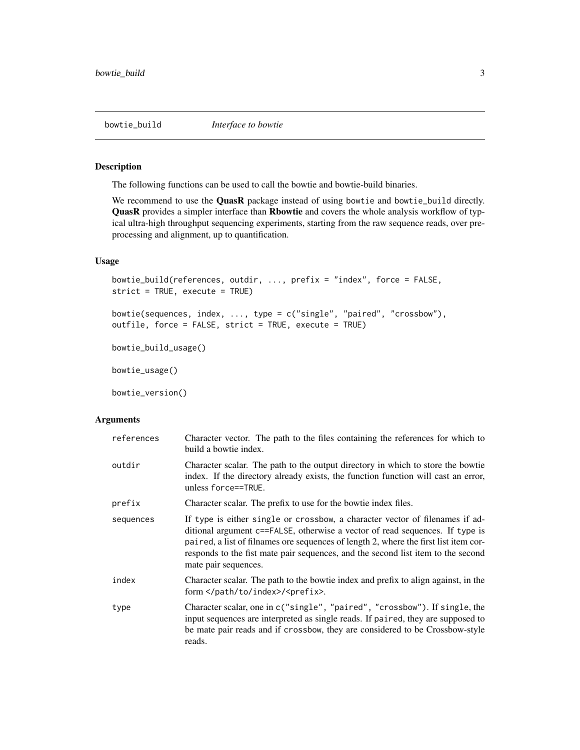<span id="page-2-0"></span>

# <span id="page-2-1"></span>Description

The following functions can be used to call the bowtie and bowtie-build binaries.

We recommend to use the **QuasR** package instead of using bowtie and bowtie\_build directly. QuasR provides a simpler interface than Rbowtie and covers the whole analysis workflow of typical ultra-high throughput sequencing experiments, starting from the raw sequence reads, over preprocessing and alignment, up to quantification.

# Usage

```
bowtie_build(references, outdir, ..., prefix = "index", force = FALSE,
strict = TRUE, execute = TRUE)
```

```
bowtie(sequences, index, ..., type = c("single", "paired", "crossbow"),
outfile, force = FALSE, strict = TRUE, execute = TRUE)
```

```
bowtie_build_usage()
```
bowtie\_usage()

bowtie\_version()

#### Arguments

| references | Character vector. The path to the files containing the references for which to<br>build a bowtie index.                                                                                                                                                                                                                                                          |
|------------|------------------------------------------------------------------------------------------------------------------------------------------------------------------------------------------------------------------------------------------------------------------------------------------------------------------------------------------------------------------|
| outdir     | Character scalar. The path to the output directory in which to store the bowtie<br>index. If the directory already exists, the function function will cast an error,<br>unless force==TRUE.                                                                                                                                                                      |
| prefix     | Character scalar. The prefix to use for the bowtie index files.                                                                                                                                                                                                                                                                                                  |
| sequences  | If type is either single or crossbow, a character vector of filenames if ad-<br>ditional argument c==FALSE, otherwise a vector of read sequences. If type is<br>paired, a list of filnames ore sequences of length 2, where the first list item cor-<br>responds to the fist mate pair sequences, and the second list item to the second<br>mate pair sequences. |
| index      | Character scalar. The path to the bowtie index and prefix to align against, in the<br>form / <prefix>.</prefix>                                                                                                                                                                                                                                                  |
| type       | Character scalar, one in c("single", "paired", "crossbow"). If single, the<br>input sequences are interpreted as single reads. If paired, they are supposed to<br>be mate pair reads and if crossbow, they are considered to be Crossbow-style<br>reads.                                                                                                         |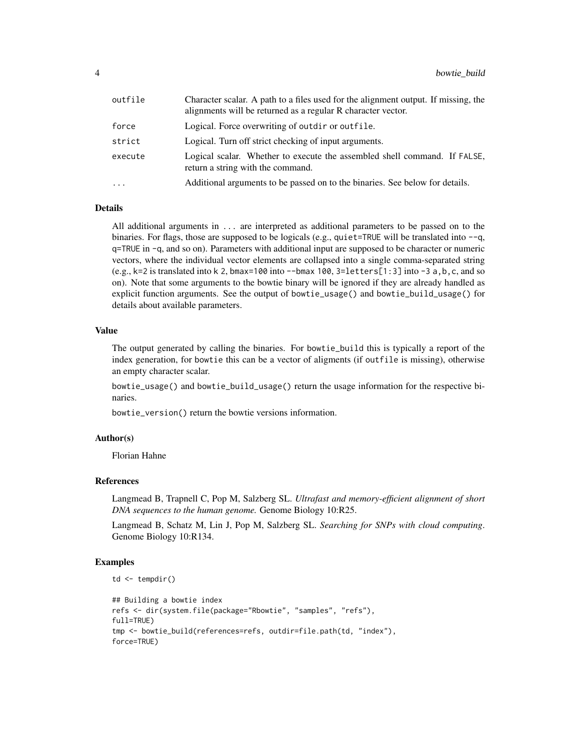| outfile  | Character scalar. A path to a files used for the alignment output. If missing, the<br>alignments will be returned as a regular R character vector. |
|----------|----------------------------------------------------------------------------------------------------------------------------------------------------|
| force    | Logical. Force overwriting of outdir or outfile.                                                                                                   |
| strict   | Logical. Turn off strict checking of input arguments.                                                                                              |
| execute  | Logical scalar. Whether to execute the assembled shell command. If FALSE,<br>return a string with the command.                                     |
| $\cdots$ | Additional arguments to be passed on to the binaries. See below for details.                                                                       |

# Details

All additional arguments in ... are interpreted as additional parameters to be passed on to the binaries. For flags, those are supposed to be logicals (e.g., quiet=TRUE will be translated into  $-q$ , q=TRUE in -q, and so on). Parameters with additional input are supposed to be character or numeric vectors, where the individual vector elements are collapsed into a single comma-separated string  $(e.g., k=2 \text{ is translated into } k 2, bmax=100 \text{ into } -bmax 100, 3=letters[1:3] into -3 a, b, c, and so$ on). Note that some arguments to the bowtie binary will be ignored if they are already handled as explicit function arguments. See the output of bowtie\_usage() and bowtie\_build\_usage() for details about available parameters.

#### Value

The output generated by calling the binaries. For bowtie\_build this is typically a report of the index generation, for bowtie this can be a vector of aligments (if outfile is missing), otherwise an empty character scalar.

bowtie\_usage() and bowtie\_build\_usage() return the usage information for the respective binaries.

bowtie\_version() return the bowtie versions information.

#### Author(s)

Florian Hahne

#### References

Langmead B, Trapnell C, Pop M, Salzberg SL. *Ultrafast and memory-efficient alignment of short DNA sequences to the human genome.* Genome Biology 10:R25.

Langmead B, Schatz M, Lin J, Pop M, Salzberg SL. *Searching for SNPs with cloud computing*. Genome Biology 10:R134.

#### Examples

```
td \leftarrow tempdir()
```

```
## Building a bowtie index
refs <- dir(system.file(package="Rbowtie", "samples", "refs"),
full=TRUE)
tmp <- bowtie_build(references=refs, outdir=file.path(td, "index"),
force=TRUE)
```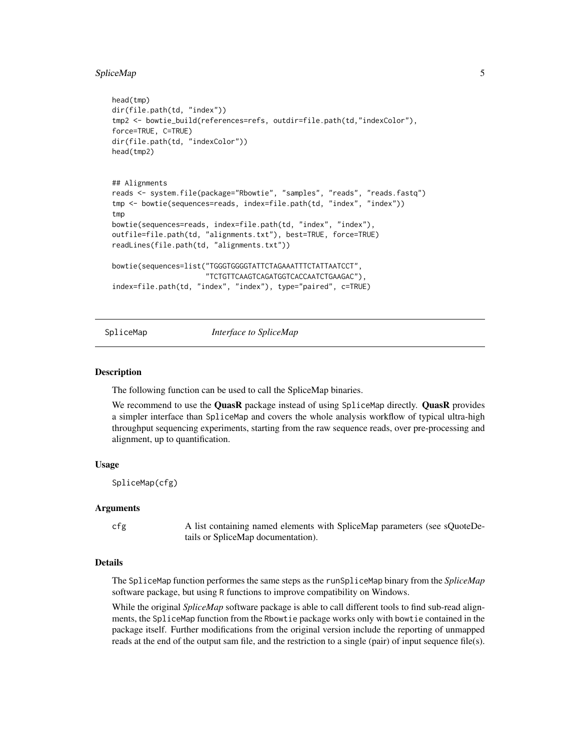#### <span id="page-4-0"></span>SpliceMap 5

```
head(tmp)
dir(file.path(td, "index"))
tmp2 <- bowtie_build(references=refs, outdir=file.path(td,"indexColor"),
force=TRUE, C=TRUE)
dir(file.path(td, "indexColor"))
head(tmp2)
## Alignments
reads <- system.file(package="Rbowtie", "samples", "reads", "reads.fastq")
tmp <- bowtie(sequences=reads, index=file.path(td, "index", "index"))
tmp
bowtie(sequences=reads, index=file.path(td, "index", "index"),
outfile=file.path(td, "alignments.txt"), best=TRUE, force=TRUE)
readLines(file.path(td, "alignments.txt"))
bowtie(sequences=list("TGGGTGGGGTATTCTAGAAATTTCTATTAATCCT",
                      "TCTGTTCAAGTCAGATGGTCACCAATCTGAAGAC"),
index=file.path(td, "index", "index"), type="paired", c=TRUE)
```
<span id="page-4-1"></span>SpliceMap *Interface to SpliceMap*

#### **Description**

The following function can be used to call the SpliceMap binaries.

We recommend to use the QuasR package instead of using SpliceMap directly. QuasR provides a simpler interface than SpliceMap and covers the whole analysis workflow of typical ultra-high throughput sequencing experiments, starting from the raw sequence reads, over pre-processing and alignment, up to quantification.

#### Usage

SpliceMap(cfg)

#### Arguments

cfg A list containing named elements with SpliceMap parameters (see sQuoteDetails or SpliceMap documentation).

# Details

The SpliceMap function performes the same steps as the runSpliceMap binary from the *SpliceMap* software package, but using R functions to improve compatibility on Windows.

While the original *SpliceMap* software package is able to call different tools to find sub-read alignments, the SpliceMap function from the Rbowtie package works only with bowtie contained in the package itself. Further modifications from the original version include the reporting of unmapped reads at the end of the output sam file, and the restriction to a single (pair) of input sequence file(s).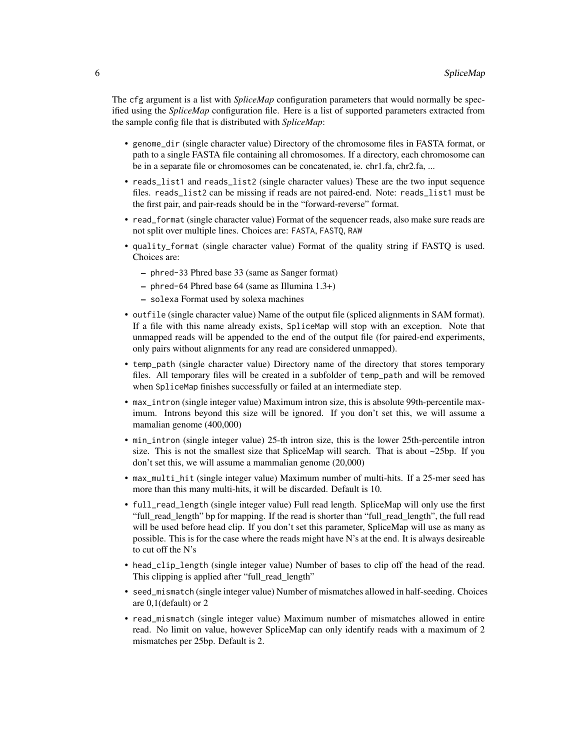The cfg argument is a list with *SpliceMap* configuration parameters that would normally be specified using the *SpliceMap* configuration file. Here is a list of supported parameters extracted from the sample config file that is distributed with *SpliceMap*:

- genome\_dir (single character value) Directory of the chromosome files in FASTA format, or path to a single FASTA file containing all chromosomes. If a directory, each chromosome can be in a separate file or chromosomes can be concatenated, ie. chr1.fa, chr2.fa, ...
- reads\_list1 and reads\_list2 (single character values) These are the two input sequence files. reads\_list2 can be missing if reads are not paired-end. Note: reads\_list1 must be the first pair, and pair-reads should be in the "forward-reverse" format.
- read\_format (single character value) Format of the sequencer reads, also make sure reads are not split over multiple lines. Choices are: FASTA, FASTQ, RAW
- quality\_format (single character value) Format of the quality string if FASTQ is used. Choices are:
	- phred-33 Phred base 33 (same as Sanger format)
	- phred-64 Phred base 64 (same as Illumina 1.3+)
	- solexa Format used by solexa machines
- outfile (single character value) Name of the output file (spliced alignments in SAM format). If a file with this name already exists, SpliceMap will stop with an exception. Note that unmapped reads will be appended to the end of the output file (for paired-end experiments, only pairs without alignments for any read are considered unmapped).
- temp\_path (single character value) Directory name of the directory that stores temporary files. All temporary files will be created in a subfolder of temp\_path and will be removed when SpliceMap finishes successfully or failed at an intermediate step.
- max\_intron (single integer value) Maximum intron size, this is absolute 99th-percentile maximum. Introns beyond this size will be ignored. If you don't set this, we will assume a mamalian genome (400,000)
- min\_intron (single integer value) 25-th intron size, this is the lower 25th-percentile intron size. This is not the smallest size that SpliceMap will search. That is about  $\sim$ 25bp. If you don't set this, we will assume a mammalian genome (20,000)
- max\_multi\_hit (single integer value) Maximum number of multi-hits. If a 25-mer seed has more than this many multi-hits, it will be discarded. Default is 10.
- full\_read\_length (single integer value) Full read length. SpliceMap will only use the first "full\_read\_length" bp for mapping. If the read is shorter than "full\_read\_length", the full read will be used before head clip. If you don't set this parameter, SpliceMap will use as many as possible. This is for the case where the reads might have N's at the end. It is always desireable to cut off the N's
- head\_clip\_length (single integer value) Number of bases to clip off the head of the read. This clipping is applied after "full\_read\_length"
- seed\_mismatch (single integer value) Number of mismatches allowed in half-seeding. Choices are 0,1(default) or 2
- read\_mismatch (single integer value) Maximum number of mismatches allowed in entire read. No limit on value, however SpliceMap can only identify reads with a maximum of 2 mismatches per 25bp. Default is 2.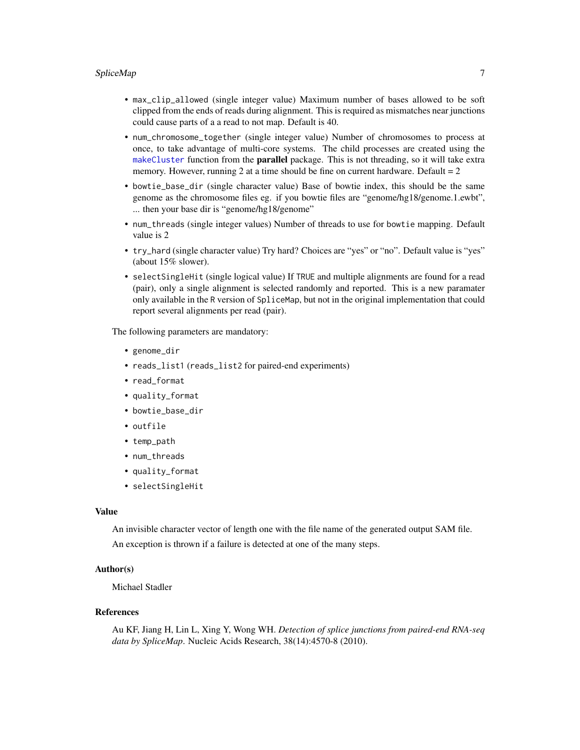#### <span id="page-6-0"></span>SpliceMap 7

- max\_clip\_allowed (single integer value) Maximum number of bases allowed to be soft clipped from the ends of reads during alignment. This is required as mismatches near junctions could cause parts of a a read to not map. Default is 40.
- num\_chromosome\_together (single integer value) Number of chromosomes to process at once, to take advantage of multi-core systems. The child processes are created using the [makeCluster](#page-0-0) function from the parallel package. This is not threading, so it will take extra memory. However, running 2 at a time should be fine on current hardware. Default  $= 2$
- bowtie\_base\_dir (single character value) Base of bowtie index, this should be the same genome as the chromosome files eg. if you bowtie files are "genome/hg18/genome.1.ewbt", ... then your base dir is "genome/hg18/genome"
- num\_threads (single integer values) Number of threads to use for bowtie mapping. Default value is 2
- try\_hard (single character value) Try hard? Choices are "yes" or "no". Default value is "yes" (about 15% slower).
- selectSingleHit (single logical value) If TRUE and multiple alignments are found for a read (pair), only a single alignment is selected randomly and reported. This is a new paramater only available in the R version of SpliceMap, but not in the original implementation that could report several alignments per read (pair).

The following parameters are mandatory:

- genome\_dir
- reads\_list1 (reads\_list2 for paired-end experiments)
- read\_format
- quality\_format
- bowtie\_base\_dir
- outfile
- temp\_path
- num\_threads
- quality\_format
- selectSingleHit

# Value

An invisible character vector of length one with the file name of the generated output SAM file. An exception is thrown if a failure is detected at one of the many steps.

#### Author(s)

Michael Stadler

#### References

Au KF, Jiang H, Lin L, Xing Y, Wong WH. *Detection of splice junctions from paired-end RNA-seq data by SpliceMap*. Nucleic Acids Research, 38(14):4570-8 (2010).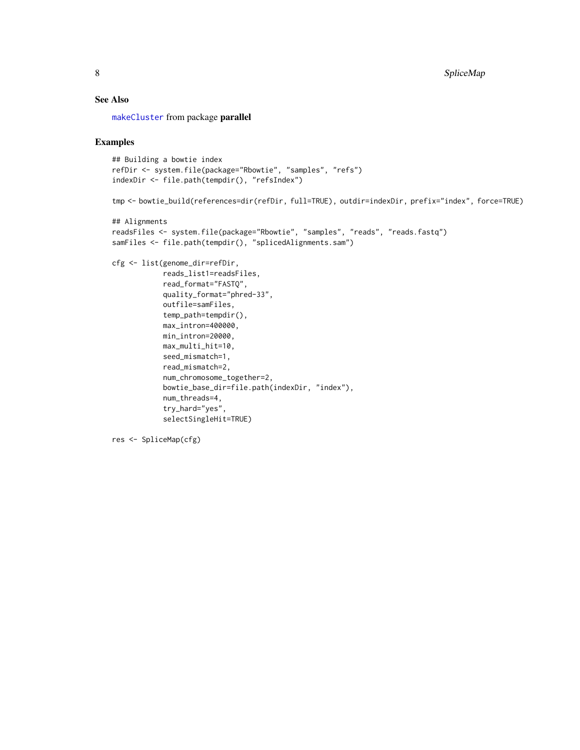# <span id="page-7-0"></span>See Also

[makeCluster](#page-0-0) from package parallel

#### Examples

```
## Building a bowtie index
refDir <- system.file(package="Rbowtie", "samples", "refs")
indexDir <- file.path(tempdir(), "refsIndex")
tmp <- bowtie_build(references=dir(refDir, full=TRUE), outdir=indexDir, prefix="index", force=TRUE)
## Alignments
readsFiles <- system.file(package="Rbowtie", "samples", "reads", "reads.fastq")
samFiles <- file.path(tempdir(), "splicedAlignments.sam")
cfg <- list(genome_dir=refDir,
            reads_list1=readsFiles,
            read_format="FASTQ",
            quality_format="phred-33",
            outfile=samFiles,
            temp_path=tempdir(),
            max_intron=400000,
           min_intron=20000,
           max_multi_hit=10,
            seed_mismatch=1,
            read_mismatch=2,
            num_chromosome_together=2,
            bowtie_base_dir=file.path(indexDir, "index"),
            num_threads=4,
            try_hard="yes",
            selectSingleHit=TRUE)
```
res <- SpliceMap(cfg)